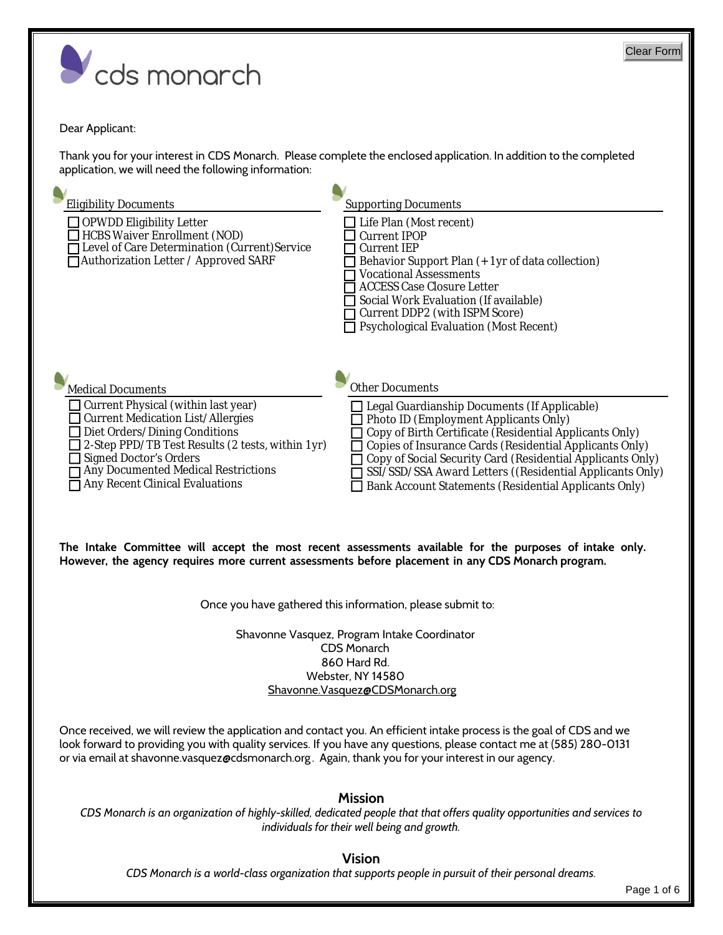

## Dear Applicant:

application, we will need the following information: Thank you for your interest in CDS Monarch. Please complete the enclosed application. In addition to the completed



**However, the agency requires more current assessments before placement in any CDS Monarch program. The Intake Committee will accept the most recent assessments available for the purposes of intake only.**

Once you have gathered this information, please submit to:

Shavonne.Vasquez@CDSMonarch.org Webster, NY 14580 860 Hard Rd. CDS Monarch Shavonne Vasquez, Program Intake Coordinator

Once received, we will review the application and contact you. An efficient intake process is the goal of CDS and we look forward to providing you with quality services. If you have any questions, please contact me at (585) 280-0131 or via email at shavonne.vasquez@cdsmonarch.org. Again, thank you for your interest in our agency.

## **Mission**

*CDS Monarch is an organization of highly-skilled, dedicated people that that offers quality opportunities and services to individuals for their well being and growth.* 

## **Vision**

*CDS Monarch is a world-class organization that supports people in pursuit of their personal dreams.*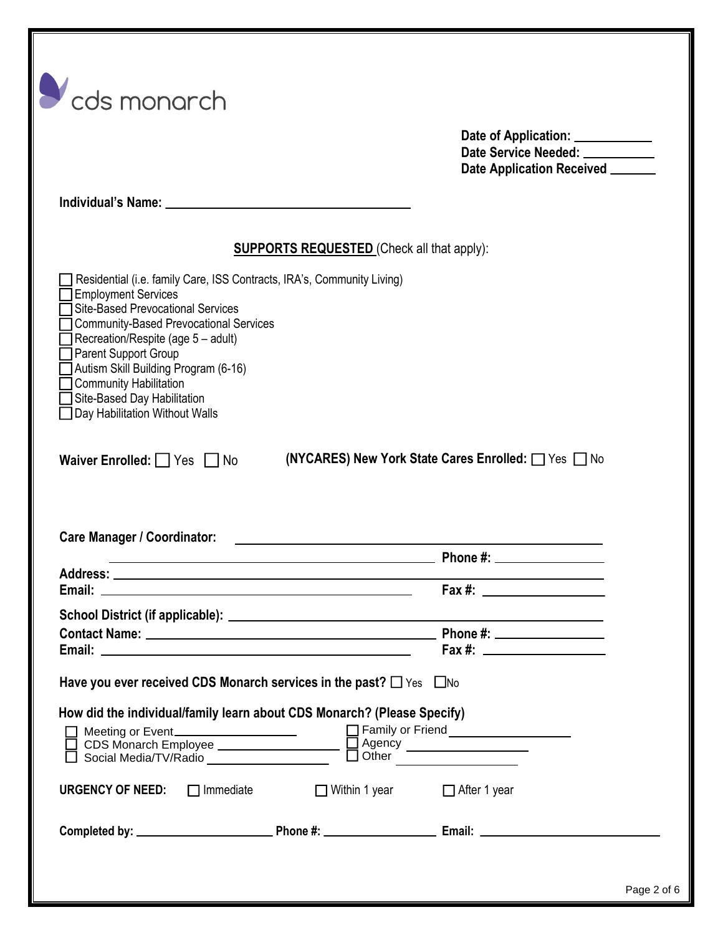|                                                                                                                                                                                                                                                                                                                                                                         |                                                                                                                      | Date of Application: ____________<br>Date Service Needed: __________<br>Date Application Received ______                                                                                                                                                                                             |
|-------------------------------------------------------------------------------------------------------------------------------------------------------------------------------------------------------------------------------------------------------------------------------------------------------------------------------------------------------------------------|----------------------------------------------------------------------------------------------------------------------|------------------------------------------------------------------------------------------------------------------------------------------------------------------------------------------------------------------------------------------------------------------------------------------------------|
|                                                                                                                                                                                                                                                                                                                                                                         |                                                                                                                      |                                                                                                                                                                                                                                                                                                      |
|                                                                                                                                                                                                                                                                                                                                                                         | <b>SUPPORTS REQUESTED</b> (Check all that apply):                                                                    |                                                                                                                                                                                                                                                                                                      |
| Residential (i.e. family Care, ISS Contracts, IRA's, Community Living)<br><b>Employment Services</b><br><b>Site-Based Prevocational Services</b><br><b>Community-Based Prevocational Services</b><br>Recreation/Respite (age 5 - adult)<br>Parent Support Group<br>Autism Skill Building Program (6-16)<br><b>Community Habilitation</b><br>Site-Based Day Habilitation |                                                                                                                      |                                                                                                                                                                                                                                                                                                      |
| Day Habilitation Without Walls                                                                                                                                                                                                                                                                                                                                          |                                                                                                                      | (NYCARES) New York State Cares Enrolled: □ Yes □ No                                                                                                                                                                                                                                                  |
|                                                                                                                                                                                                                                                                                                                                                                         | <u> 1980 - Jan James James Jan James James James James James James James James James James James James James Jam</u> |                                                                                                                                                                                                                                                                                                      |
| Waiver Enrolled: $\Box$ Yes $\Box$ No<br><b>Care Manager / Coordinator:</b><br>Email:                                                                                                                                                                                                                                                                                   |                                                                                                                      | Fax #: _                                                                                                                                                                                                                                                                                             |
|                                                                                                                                                                                                                                                                                                                                                                         |                                                                                                                      |                                                                                                                                                                                                                                                                                                      |
|                                                                                                                                                                                                                                                                                                                                                                         |                                                                                                                      |                                                                                                                                                                                                                                                                                                      |
|                                                                                                                                                                                                                                                                                                                                                                         |                                                                                                                      | Fax #: $\frac{1}{2}$ = $\frac{1}{2}$ = $\frac{1}{2}$ = $\frac{1}{2}$ = $\frac{1}{2}$ = $\frac{1}{2}$ = $\frac{1}{2}$ = $\frac{1}{2}$ = $\frac{1}{2}$ = $\frac{1}{2}$ = $\frac{1}{2}$ = $\frac{1}{2}$ = $\frac{1}{2}$ = $\frac{1}{2}$ = $\frac{1}{2}$ = $\frac{1}{2}$ = $\frac{1}{2}$ = $\frac{1}{2}$ |
| Have you ever received CDS Monarch services in the past? $\Box$ Yes $\Box$ No<br>How did the individual/family learn about CDS Monarch? (Please Specify)                                                                                                                                                                                                                |                                                                                                                      |                                                                                                                                                                                                                                                                                                      |
| <b>URGENCY OF NEED:</b> $\Box$ Immediate $\Box$ Within 1 year $\Box$ After 1 year                                                                                                                                                                                                                                                                                       |                                                                                                                      |                                                                                                                                                                                                                                                                                                      |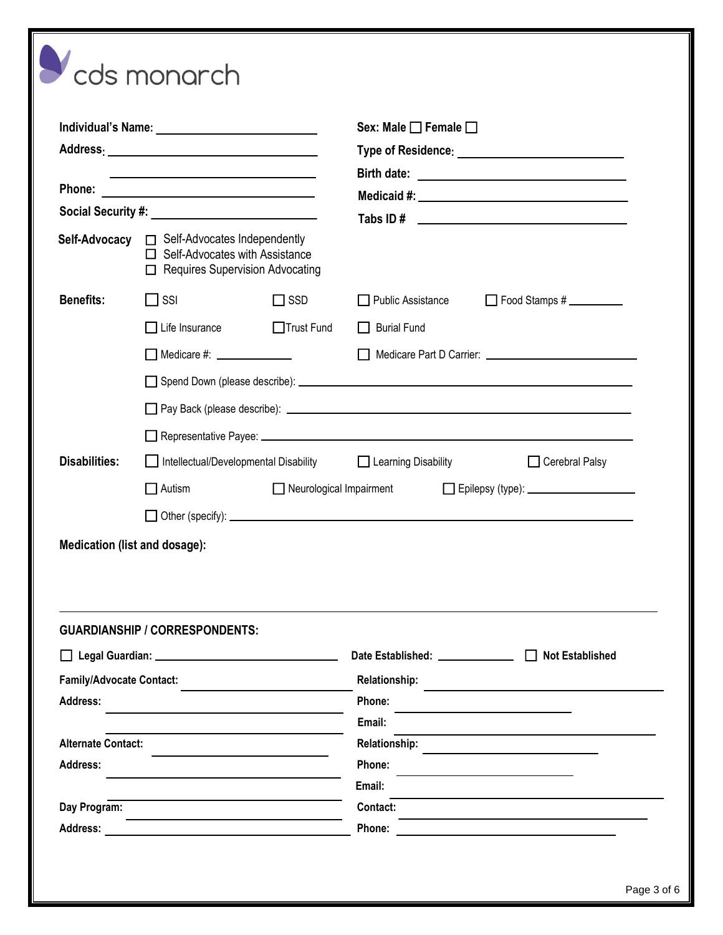|                                                                                                                       |                                                                                                                        |            | Sex: Male $\Box$ Female $\Box$                                                                                                                                                                                                      |  |  |
|-----------------------------------------------------------------------------------------------------------------------|------------------------------------------------------------------------------------------------------------------------|------------|-------------------------------------------------------------------------------------------------------------------------------------------------------------------------------------------------------------------------------------|--|--|
| <u> 1989 - Johann Barn, amerikansk politiker (</u><br>Phone:<br><u> 1989 - Johann Stein, fransk politik (d. 1989)</u> |                                                                                                                        |            |                                                                                                                                                                                                                                     |  |  |
|                                                                                                                       |                                                                                                                        |            |                                                                                                                                                                                                                                     |  |  |
|                                                                                                                       |                                                                                                                        |            |                                                                                                                                                                                                                                     |  |  |
| Self-Advocacy                                                                                                         | $\Box$ Self-Advocates Independently<br>$\Box$ Self-Advocates with Assistance<br>$\Box$ Requires Supervision Advocating |            |                                                                                                                                                                                                                                     |  |  |
| <b>Benefits:</b>                                                                                                      | $\Box$ SSI                                                                                                             | $\Box$ SSD | Food Stamps #<br>Public Assistance                                                                                                                                                                                                  |  |  |
|                                                                                                                       | $\Box$ Life Insurance                                                                                                  | Trust Fund | $\Box$ Burial Fund                                                                                                                                                                                                                  |  |  |
|                                                                                                                       | Medicare #: ______________                                                                                             |            |                                                                                                                                                                                                                                     |  |  |
|                                                                                                                       |                                                                                                                        |            |                                                                                                                                                                                                                                     |  |  |
|                                                                                                                       |                                                                                                                        |            |                                                                                                                                                                                                                                     |  |  |
|                                                                                                                       |                                                                                                                        |            | <b>■ Representative Payee: ■ Presentative Payee: ■ Presentative Payee: ■ Presentative Payee: ■ Presentative Payee: ■ Presentative Payee: ■ Presentative Payee: ■ Presentative Payee: ■ Presentative Payee: ■ Presentative Payee</b> |  |  |
| <b>Disabilities:</b>                                                                                                  |                                                                                                                        |            | Intellectual/Developmental Disability <b>Dearning Disability</b><br>$\Box$ Cerebral Palsy                                                                                                                                           |  |  |
|                                                                                                                       | Epilepsy (type): _______________________<br>$\Box$ Autism<br>Neurological Impairment                                   |            |                                                                                                                                                                                                                                     |  |  |
|                                                                                                                       |                                                                                                                        |            |                                                                                                                                                                                                                                     |  |  |
|                                                                                                                       |                                                                                                                        |            | $\Box$ Other (specify): $\Box$                                                                                                                                                                                                      |  |  |
| Medication (list and dosage):                                                                                         |                                                                                                                        |            |                                                                                                                                                                                                                                     |  |  |
|                                                                                                                       | <b>GUARDIANSHIP / CORRESPONDENTS:</b>                                                                                  |            |                                                                                                                                                                                                                                     |  |  |
|                                                                                                                       |                                                                                                                        |            |                                                                                                                                                                                                                                     |  |  |
| <b>Family/Advocate Contact:</b><br>Address:                                                                           |                                                                                                                        |            | Date Established: <u>________________</u> □ Not Established<br><b>Relationship:</b><br>Phone:                                                                                                                                       |  |  |
|                                                                                                                       |                                                                                                                        |            | Email:                                                                                                                                                                                                                              |  |  |
|                                                                                                                       |                                                                                                                        |            | <b>Relationship:</b>                                                                                                                                                                                                                |  |  |
| <b>Alternate Contact:</b><br><b>Address:</b>                                                                          |                                                                                                                        |            | Phone:                                                                                                                                                                                                                              |  |  |
| Day Program:                                                                                                          |                                                                                                                        |            | Email:<br><b>Contact:</b>                                                                                                                                                                                                           |  |  |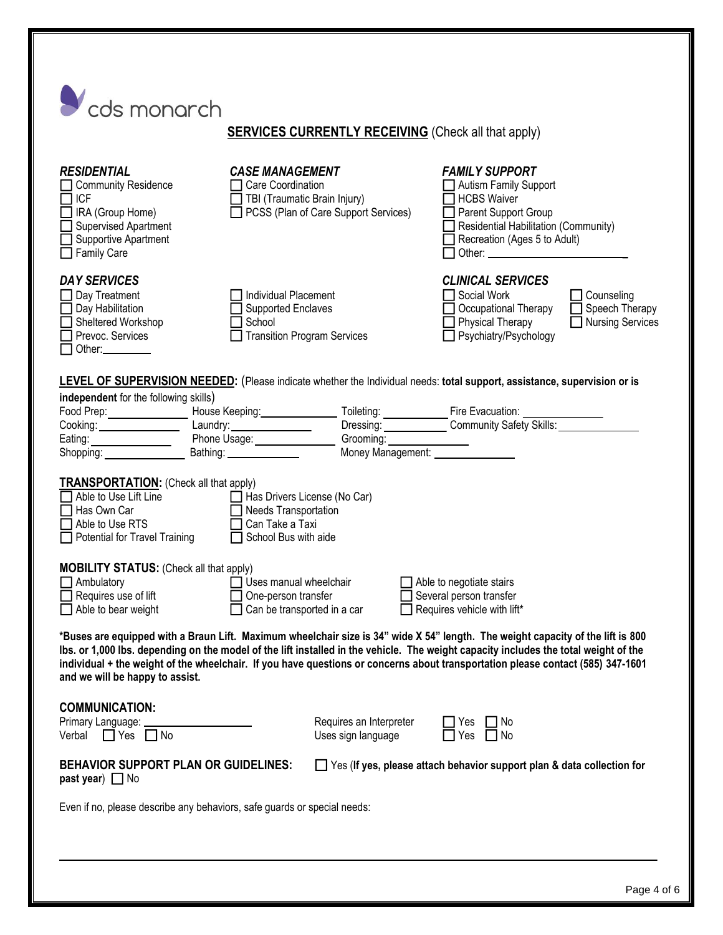| cds monarch                                                                                                                                                                                                                                                                                                                                                                                                                                   | <b>SERVICES CURRENTLY RECEIVING</b> (Check all that apply)                                                                 |                                                                                                                                                                                                                                                                                                                                                              |  |  |  |
|-----------------------------------------------------------------------------------------------------------------------------------------------------------------------------------------------------------------------------------------------------------------------------------------------------------------------------------------------------------------------------------------------------------------------------------------------|----------------------------------------------------------------------------------------------------------------------------|--------------------------------------------------------------------------------------------------------------------------------------------------------------------------------------------------------------------------------------------------------------------------------------------------------------------------------------------------------------|--|--|--|
| <b>RESIDENTIAL</b><br><b>Community Residence</b><br><b>ICF</b><br>IRA (Group Home)<br><b>Supervised Apartment</b><br>Supportive Apartment<br>$\Box$ Family Care                                                                                                                                                                                                                                                                               | <b>CASE MANAGEMENT</b><br>Care Coordination<br>$\Box$ TBI (Traumatic Brain Injury)<br>PCSS (Plan of Care Support Services) | <b>FAMILY SUPPORT</b><br>Autism Family Support<br><b>HCBS Waiver</b><br>Parent Support Group<br>Residential Habilitation (Community)<br>Recreation (Ages 5 to Adult)                                                                                                                                                                                         |  |  |  |
| <b>DAY SERVICES</b><br>Day Treatment<br>Day Habilitation<br>Sheltered Workshop<br>Prevoc. Services<br>Other:                                                                                                                                                                                                                                                                                                                                  | Individual Placement<br><b>Supported Enclaves</b><br>School<br><b>Transition Program Services</b>                          | <b>CLINICAL SERVICES</b><br>Social Work<br>$\Box$ Counseling<br>$\Box$ Speech Therapy<br>Occupational Therapy<br>$\Box$ Physical Therapy<br>$\Box$ Nursing Services<br>□ Psychiatry/Psychology                                                                                                                                                               |  |  |  |
| independent for the following skills)                                                                                                                                                                                                                                                                                                                                                                                                         |                                                                                                                            | LEVEL OF SUPERVISION NEEDED: (Please indicate whether the Individual needs: total support, assistance, supervision or is<br>Food Prep:<br>Cooking: Laundry: Laundry: Laundry: Dressing: Cooking: Laundry: Laundry: Dressing: Cooking: Laundry: Dressing: Community Safety Skills: Laundry: Phone Usage: Community Safety Skills: Laundry: Phone Usage: Commu |  |  |  |
| <b>TRANSPORTATION:</b> (Check all that apply)<br>Able to Use Lift Line<br>Has Own Car<br>Able to Use RTS<br>Potential for Travel Training                                                                                                                                                                                                                                                                                                     | Has Drivers License (No Car)<br>Needs Transportation<br>Can Take a Taxi<br>School Bus with aide                            |                                                                                                                                                                                                                                                                                                                                                              |  |  |  |
| <b>MOBILITY STATUS:</b> (Check all that apply)<br>Ambulatory<br>Requires use of lift<br>Able to bear weight                                                                                                                                                                                                                                                                                                                                   | Uses manual wheelchair<br>One-person transfer<br>Can be transported in a car                                               | Able to negotiate stairs<br>Several person transfer<br>Requires vehicle with lift*                                                                                                                                                                                                                                                                           |  |  |  |
| *Buses are equipped with a Braun Lift. Maximum wheelchair size is 34" wide X 54" length. The weight capacity of the lift is 800<br>Ibs. or 1,000 lbs. depending on the model of the lift installed in the vehicle. The weight capacity includes the total weight of the<br>individual + the weight of the wheelchair. If you have questions or concerns about transportation please contact (585) 347-1601<br>and we will be happy to assist. |                                                                                                                            |                                                                                                                                                                                                                                                                                                                                                              |  |  |  |
| <b>COMMUNICATION:</b><br>Primary Language:<br>Verbal $\Box$ Yes $\Box$ No                                                                                                                                                                                                                                                                                                                                                                     | Requires an Interpreter<br>Uses sign language                                                                              | No<br>Yes<br>  No<br>Yes                                                                                                                                                                                                                                                                                                                                     |  |  |  |
| <b>BEHAVIOR SUPPORT PLAN OR GUIDELINES:</b><br>$\Box$ Yes (If yes, please attach behavior support plan & data collection for<br>past year) $\Box$ No                                                                                                                                                                                                                                                                                          |                                                                                                                            |                                                                                                                                                                                                                                                                                                                                                              |  |  |  |
| Even if no, please describe any behaviors, safe guards or special needs:                                                                                                                                                                                                                                                                                                                                                                      |                                                                                                                            |                                                                                                                                                                                                                                                                                                                                                              |  |  |  |
|                                                                                                                                                                                                                                                                                                                                                                                                                                               |                                                                                                                            |                                                                                                                                                                                                                                                                                                                                                              |  |  |  |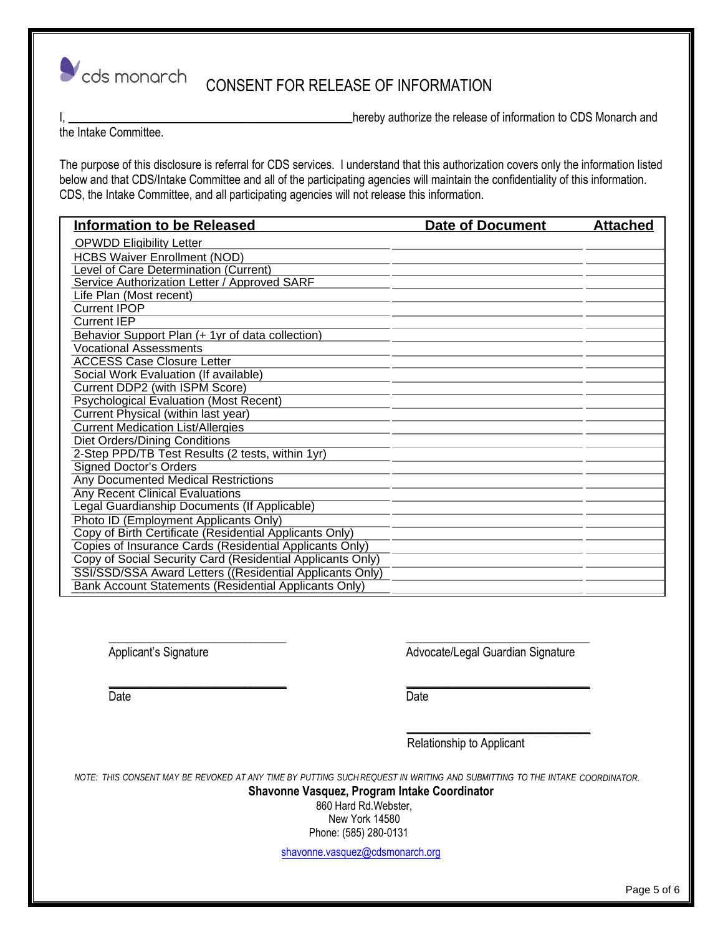

CONSENT FOR RELEASE OF INFORMATION

I, \_\_\_\_\_\_\_\_\_\_\_\_\_\_\_\_\_\_\_\_\_\_\_\_\_\_\_\_\_\_\_\_\_\_\_\_\_\_\_\_\_\_\_\_\_\_\_\_hereby authorize the release of information to CDS Monarch and

the Intake Committee.

The purpose of this disclosure is referral for CDS services. I understand that this authorization covers only the information listed below and that CDS/Intake Committee and all of the participating agencies will maintain the confidentiality of this information. CDS, the Intake Committee, and all participating agencies will not release this information.

| <b>Information to be Released</b>                          | <b>Date of Document</b> | <b>Attached</b> |
|------------------------------------------------------------|-------------------------|-----------------|
| <b>OPWDD Eligibility Letter</b>                            |                         |                 |
| <b>HCBS Waiver Enrollment (NOD)</b>                        |                         |                 |
| Level of Care Determination (Current)                      |                         |                 |
| Service Authorization Letter / Approved SARF               |                         |                 |
| Life Plan (Most recent)                                    |                         |                 |
| <b>Current IPOP</b>                                        |                         |                 |
| <b>Current IEP</b>                                         |                         |                 |
| Behavior Support Plan (+ 1yr of data collection)           |                         |                 |
| <b>Vocational Assessments</b>                              |                         |                 |
| <b>ACCESS Case Closure Letter</b>                          |                         |                 |
| Social Work Evaluation (If available)                      |                         |                 |
| Current DDP2 (with ISPM Score)                             |                         |                 |
| <b>Psychological Evaluation (Most Recent)</b>              |                         |                 |
| Current Physical (within last year)                        |                         |                 |
| <b>Current Medication List/Allergies</b>                   |                         |                 |
| Diet Orders/Dining Conditions                              |                         |                 |
| 2-Step PPD/TB Test Results (2 tests, within 1yr)           |                         |                 |
| <b>Signed Doctor's Orders</b>                              |                         |                 |
| <b>Any Documented Medical Restrictions</b>                 |                         |                 |
| <b>Any Recent Clinical Evaluations</b>                     |                         |                 |
| Legal Guardianship Documents (If Applicable)               |                         |                 |
| Photo ID (Employment Applicants Only)                      |                         |                 |
| Copy of Birth Certificate (Residential Applicants Only)    |                         |                 |
| Copies of Insurance Cards (Residential Applicants Only)    |                         |                 |
| Copy of Social Security Card (Residential Applicants Only) |                         |                 |
| SSI/SSD/SSA Award Letters ((Residential Applicants Only)   |                         |                 |
| Bank Account Statements (Residential Applicants Only)      |                         |                 |

Applicant's Signature Advocate/Legal Guardian Signature

Date **Date Date Date Date Date Date** 

Relationship to Applicant

 $\frac{1}{\sqrt{2}}$  ,  $\frac{1}{\sqrt{2}}$  ,  $\frac{1}{\sqrt{2}}$  ,  $\frac{1}{\sqrt{2}}$  ,  $\frac{1}{\sqrt{2}}$  ,  $\frac{1}{\sqrt{2}}$  ,  $\frac{1}{\sqrt{2}}$  ,  $\frac{1}{\sqrt{2}}$  ,  $\frac{1}{\sqrt{2}}$  ,  $\frac{1}{\sqrt{2}}$  ,  $\frac{1}{\sqrt{2}}$  ,  $\frac{1}{\sqrt{2}}$  ,  $\frac{1}{\sqrt{2}}$  ,  $\frac{1}{\sqrt{2}}$  ,  $\frac{1}{\sqrt{2}}$ 

NOTE: THIS CONSENT MAY BE REVOKED AT ANY TIME BY PUTTING SUCH REQUEST IN WRITING AND SUBMITTING TO THE INTAKE COORDINATOR.

\_\_\_\_\_\_\_\_\_\_\_\_\_\_\_\_\_\_\_\_\_\_\_\_\_\_\_\_\_\_ \_\_\_\_\_\_\_\_\_\_\_\_\_\_\_\_\_\_\_\_\_\_\_\_\_\_\_\_\_\_\_

\_\_\_\_\_\_\_\_\_\_\_\_\_\_\_\_\_\_\_\_\_\_\_\_\_\_\_\_\_\_ \_\_\_\_\_\_\_\_\_\_\_\_\_\_\_\_\_\_\_\_\_\_\_\_\_\_\_\_\_\_\_

 **Shavonne Vasquez, Program Intake Coordinator**

 Phone: (585) 280-0131 New York 14580 860 Hard Rd.Webster,

shavonne.vasquez@cdsmonarch.org

Page 5 of 6